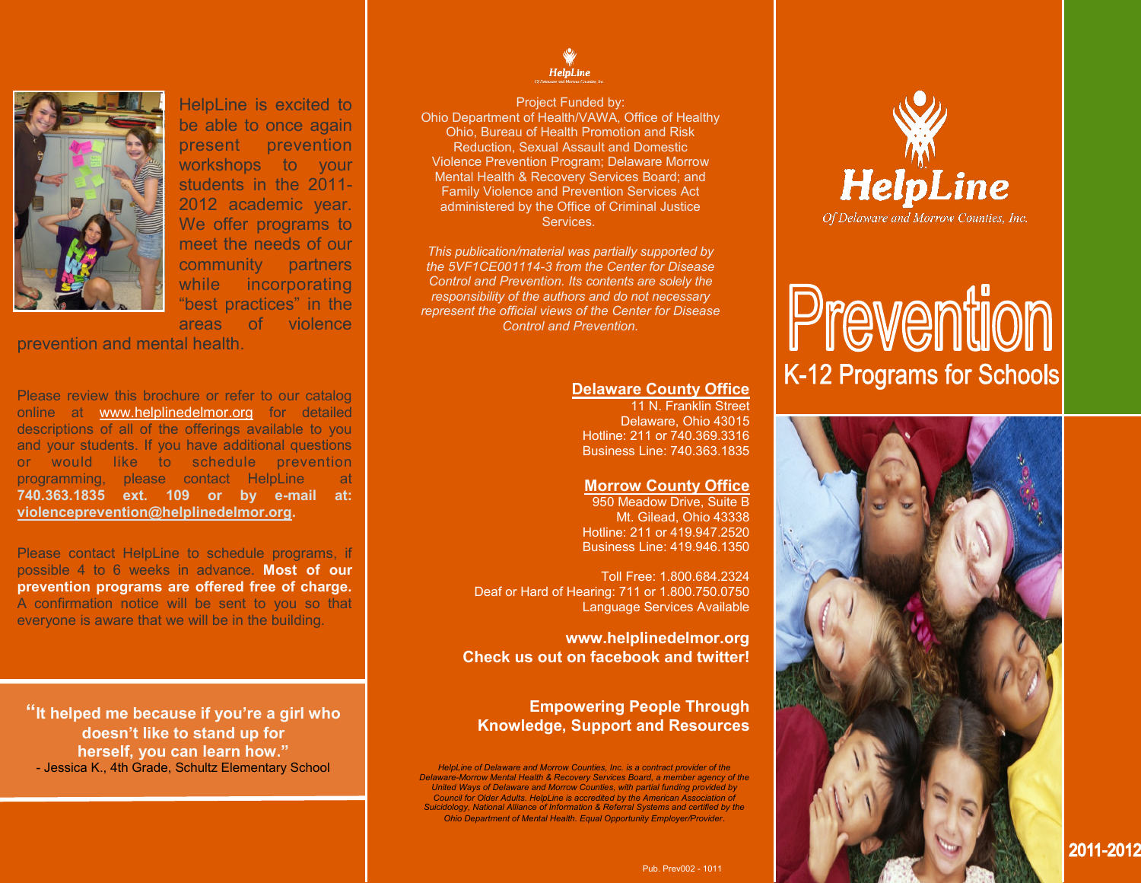

HelpLine is excited to be able to once again present prevention workshops to your students in the 2011- 2012 academic year. We offer programs to meet the needs of our community partners while incorporating "best practices" in the areas of violence

prevention and mental health.

Please review this brochure or refer to our catalog online at www.helplinedelmor.org for detailed descriptions of all of the offerings available to you and your students. If you have additional questions or would like to schedule prevention programming, please contact HelpLine at **740.363.1835 ext. 109 or by e-mail at: violenceprevention@helplinedelmor.org.** 

Please contact HelpLine to schedule programs, if possible 4 to 6 weeks in advance. **Most of our prevention programs are offered free of charge.**  A confirmation notice will be sent to you so that everyone is aware that we will be in the building.

**"It helped me because if you're a girl who doesn't like to stand up for herself, you can learn how."**  - Jessica K., 4th Grade, Schultz Elementary School



Project Funded by: Ohio Department of Health/VAWA, Office of Healthy Ohio, Bureau of Health Promotion and Risk Reduction, Sexual Assault and Domestic Violence Prevention Program; Delaware Morrow Mental Health & Recovery Services Board; and Family Violence and Prevention Services Act administered by the Office of Criminal Justice Services.

*This publication/material was partially supported by the 5VF1CE001114-3 from the Center for Disease Control and Prevention. Its contents are solely the responsibility of the authors and do not necessary represent the official views of the Center for Disease Control and Prevention.*

## **Delaware County Office**

11 N. Franklin Street Delaware, Ohio 43015 Hotline: 211 or 740.369.3316 Business Line: 740.363.1835

### **Morrow County Office**

950 Meadow Drive, Suite B Mt. Gilead, Ohio 43338 Hotline: 211 or 419.947.2520 Business Line: 419.946.1350

Toll Free: 1.800.684.2324 Deaf or Hard of Hearing: 711 or 1.800.750.0750 Language Services Available

**www.helplinedelmor.org Check us out on facebook and twitter!**

# **Empowering People Through Knowledge, Support and Resources**

*HelpLine of Delaware and Morrow Counties, Inc. is a contract provider of the Delaware-Morrow Mental Health & Recovery Services Board, a member agency of the United Ways of Delaware and Morrow Counties, with partial funding provided by Council for Older Adults. HelpLine is accredited by the American Association of Suicidology, National Alliance of Information & Referral Systems and certified by the Ohio Department of Mental Health. Equal Opportunity Employer/Provider*.



# Prevention K-12 Programs for Schools



Pub. Prev002 - 1011